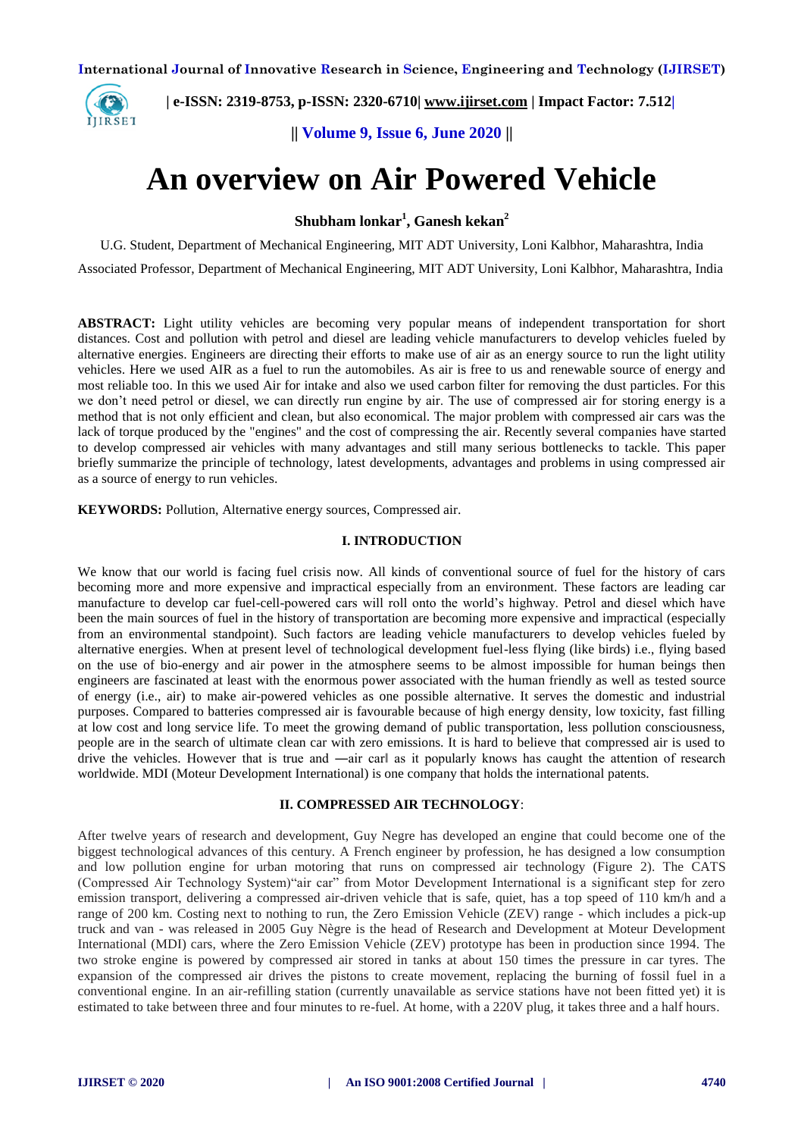

 **| e-ISSN: 2319-8753, p-ISSN: 2320-6710| [www.ijirset.com](http://www.ijirset.com/) | Impact Factor: 7.512|**

**|| Volume 9, Issue 6, June 2020 ||** 

# **An overview on Air Powered Vehicle**

**Shubham lonkar<sup>1</sup> , Ganesh kekan<sup>2</sup>**

U.G. Student, Department of Mechanical Engineering, MIT ADT University, Loni Kalbhor, Maharashtra, India

Associated Professor, Department of Mechanical Engineering, MIT ADT University, Loni Kalbhor, Maharashtra, India

**ABSTRACT:** Light utility vehicles are becoming very popular means of independent transportation for short distances. Cost and pollution with petrol and diesel are leading vehicle manufacturers to develop vehicles fueled by alternative energies. Engineers are directing their efforts to make use of air as an energy source to run the light utility vehicles. Here we used AIR as a fuel to run the automobiles. As air is free to us and renewable source of energy and most reliable too. In this we used Air for intake and also we used carbon filter for removing the dust particles. For this we don't need petrol or diesel, we can directly run engine by air. The use of compressed air for storing energy is a method that is not only efficient and clean, but also economical. The major problem with compressed air cars was the lack of torque produced by the "engines" and the cost of compressing the air. Recently several companies have started to develop compressed air vehicles with many advantages and still many serious bottlenecks to tackle. This paper briefly summarize the principle of technology, latest developments, advantages and problems in using compressed air as a source of energy to run vehicles.

**KEYWORDS:** Pollution, Alternative energy sources, Compressed air.

## **I. INTRODUCTION**

We know that our world is facing fuel crisis now. All kinds of conventional source of fuel for the history of cars becoming more and more expensive and impractical especially from an environment. These factors are leading car manufacture to develop car fuel-cell-powered cars will roll onto the world's highway. Petrol and diesel which have been the main sources of fuel in the history of transportation are becoming more expensive and impractical (especially from an environmental standpoint). Such factors are leading vehicle manufacturers to develop vehicles fueled by alternative energies. When at present level of technological development fuel-less flying (like birds) i.e., flying based on the use of bio-energy and air power in the atmosphere seems to be almost impossible for human beings then engineers are fascinated at least with the enormous power associated with the human friendly as well as tested source of energy (i.e., air) to make air-powered vehicles as one possible alternative. It serves the domestic and industrial purposes. Compared to batteries compressed air is favourable because of high energy density, low toxicity, fast filling at low cost and long service life. To meet the growing demand of public transportation, less pollution consciousness, people are in the search of ultimate clean car with zero emissions. It is hard to believe that compressed air is used to drive the vehicles. However that is true and —air carl as it popularly knows has caught the attention of research worldwide. MDI (Moteur Development International) is one company that holds the international patents.

## **II. COMPRESSED AIR TECHNOLOGY**:

After twelve years of research and development, Guy Negre has developed an engine that could become one of the biggest technological advances of this century. A French engineer by profession, he has designed a low consumption and low pollution engine for urban motoring that runs on compressed air technology (Figure 2). The CATS (Compressed Air Technology System)"air car" from Motor Development International is a significant step for zero emission transport, delivering a compressed air-driven vehicle that is safe, quiet, has a top speed of 110 km/h and a range of 200 km. Costing next to nothing to run, the Zero Emission Vehicle (ZEV) range - which includes a pick-up truck and van - was released in 2005 Guy Nègre is the head of Research and Development at Moteur Development International (MDI) cars, where the Zero Emission Vehicle (ZEV) prototype has been in production since 1994. The two stroke engine is powered by compressed air stored in tanks at about 150 times the pressure in car tyres. The expansion of the compressed air drives the pistons to create movement, replacing the burning of fossil fuel in a conventional engine. In an air-refilling station (currently unavailable as service stations have not been fitted yet) it is estimated to take between three and four minutes to re-fuel. At home, with a 220V plug, it takes three and a half hours.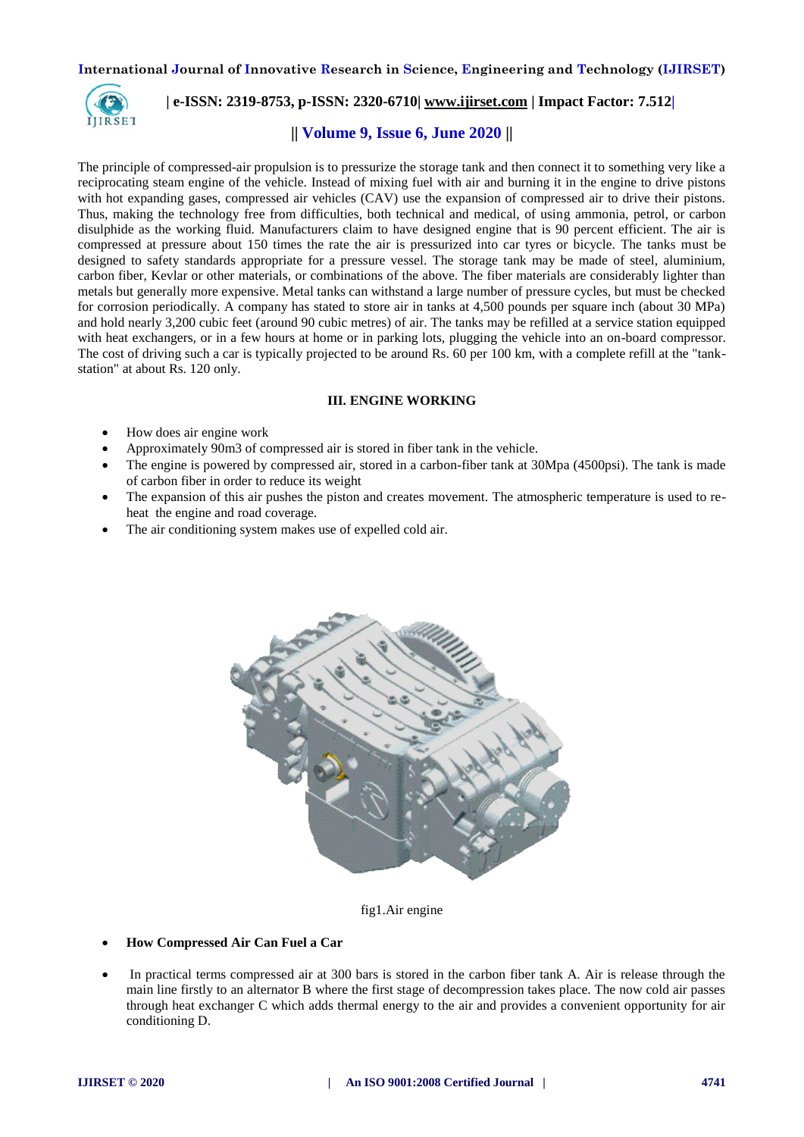

## **| e-ISSN: 2319-8753, p-ISSN: 2320-6710| [www.ijirset.com](http://www.ijirset.com/) | Impact Factor: 7.512|**

## **|| Volume 9, Issue 6, June 2020 ||**

The principle of compressed-air propulsion is to pressurize the storage tank and then connect it to something very like a reciprocating steam engine of the vehicle. Instead of mixing fuel with air and burning it in the engine to drive pistons with hot expanding gases, compressed air vehicles (CAV) use the expansion of compressed air to drive their pistons. Thus, making the technology free from difficulties, both technical and medical, of using ammonia, petrol, or carbon disulphide as the working fluid. Manufacturers claim to have designed engine that is 90 percent efficient. The air is compressed at pressure about 150 times the rate the air is pressurized into car tyres or bicycle. The tanks must be designed to safety standards appropriate for a pressure vessel. The storage tank may be made of steel, aluminium, carbon fiber, Kevlar or other materials, or combinations of the above. The fiber materials are considerably lighter than metals but generally more expensive. Metal tanks can withstand a large number of pressure cycles, but must be checked for corrosion periodically. A company has stated to store air in tanks at 4,500 pounds per square inch (about 30 MPa) and hold nearly 3,200 cubic feet (around 90 cubic metres) of air. The tanks may be refilled at a service station equipped with heat exchangers, or in a few hours at home or in parking lots, plugging the vehicle into an on-board compressor. The cost of driving such a car is typically projected to be around Rs. 60 per 100 km, with a complete refill at the "tankstation" at about Rs. 120 only.

#### **III. ENGINE WORKING**

- How does air engine work
- Approximately 90m3 of compressed air is stored in fiber tank in the vehicle.
- The engine is powered by compressed air, stored in a carbon-fiber tank at 30Mpa (4500psi). The tank is made of carbon fiber in order to reduce its weight
- The expansion of this air pushes the piston and creates movement. The atmospheric temperature is used to reheat the engine and road coverage.
- The air conditioning system makes use of expelled cold air.



fig1.Air engine

#### **How Compressed Air Can Fuel a Car**

 In practical terms compressed air at 300 bars is stored in the carbon fiber tank A. Air is release through the main line firstly to an alternator B where the first stage of decompression takes place. The now cold air passes through heat exchanger C which adds thermal energy to the air and provides a convenient opportunity for air conditioning D.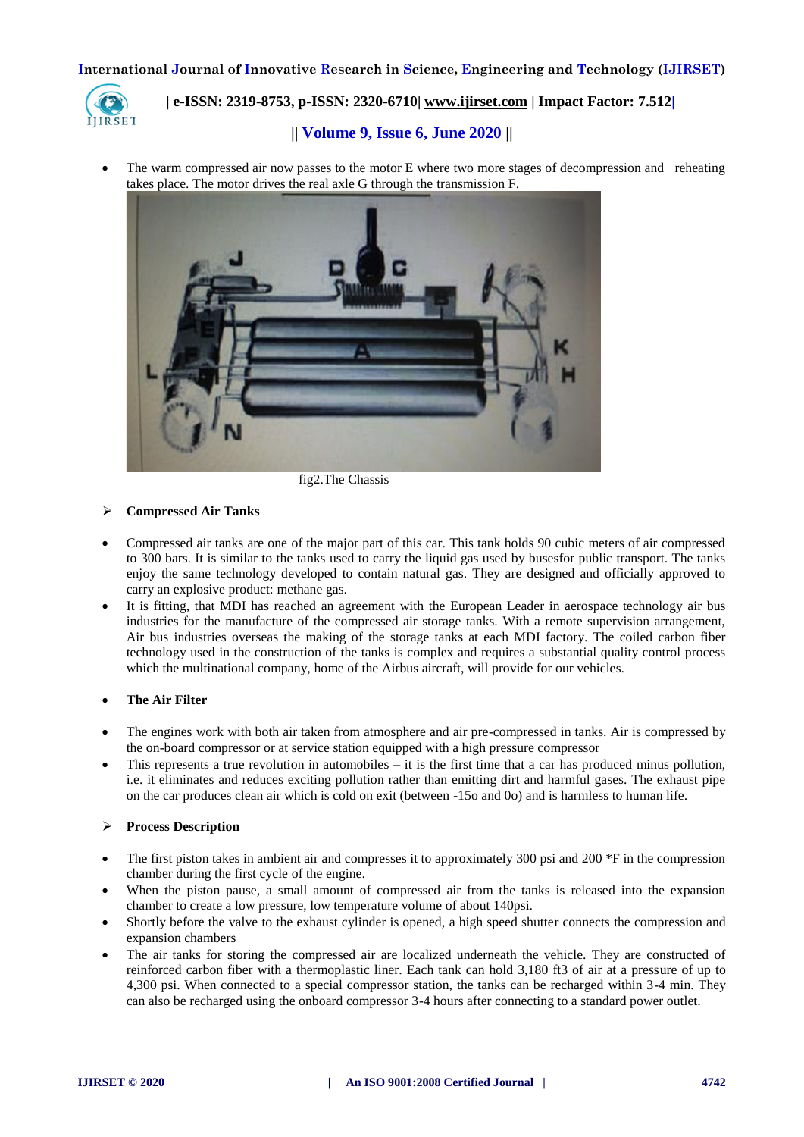

# **| e-ISSN: 2319-8753, p-ISSN: 2320-6710| [www.ijirset.com](http://www.ijirset.com/) | Impact Factor: 7.512|**

# **|| Volume 9, Issue 6, June 2020 ||**

 The warm compressed air now passes to the motor E where two more stages of decompression and reheating takes place. The motor drives the real axle G through the transmission F.



fig2.The Chassis

#### **Compressed Air Tanks**

- Compressed air tanks are one of the major part of this car. This tank holds 90 cubic meters of air compressed to 300 bars. It is similar to the tanks used to carry the liquid gas used by busesfor public transport. The tanks enjoy the same technology developed to contain natural gas. They are designed and officially approved to carry an explosive product: methane gas.
- It is fitting, that MDI has reached an agreement with the European Leader in aerospace technology air bus industries for the manufacture of the compressed air storage tanks. With a remote supervision arrangement, Air bus industries overseas the making of the storage tanks at each MDI factory. The coiled carbon fiber technology used in the construction of the tanks is complex and requires a substantial quality control process which the multinational company, home of the Airbus aircraft, will provide for our vehicles.

## **The Air Filter**

- The engines work with both air taken from atmosphere and air pre-compressed in tanks. Air is compressed by the on-board compressor or at service station equipped with a high pressure compressor
- This represents a true revolution in automobiles  $-$  it is the first time that a car has produced minus pollution, i.e. it eliminates and reduces exciting pollution rather than emitting dirt and harmful gases. The exhaust pipe on the car produces clean air which is cold on exit (between -15o and 0o) and is harmless to human life.

## **Process Description**

- The first piston takes in ambient air and compresses it to approximately 300 psi and 200  $*F$  in the compression chamber during the first cycle of the engine.
- When the piston pause, a small amount of compressed air from the tanks is released into the expansion chamber to create a low pressure, low temperature volume of about 140psi.
- Shortly before the valve to the exhaust cylinder is opened, a high speed shutter connects the compression and expansion chambers
- The air tanks for storing the compressed air are localized underneath the vehicle. They are constructed of reinforced carbon fiber with a thermoplastic liner. Each tank can hold 3,180 ft3 of air at a pressure of up to 4,300 psi. When connected to a special compressor station, the tanks can be recharged within 3-4 min. They can also be recharged using the onboard compressor 3-4 hours after connecting to a standard power outlet.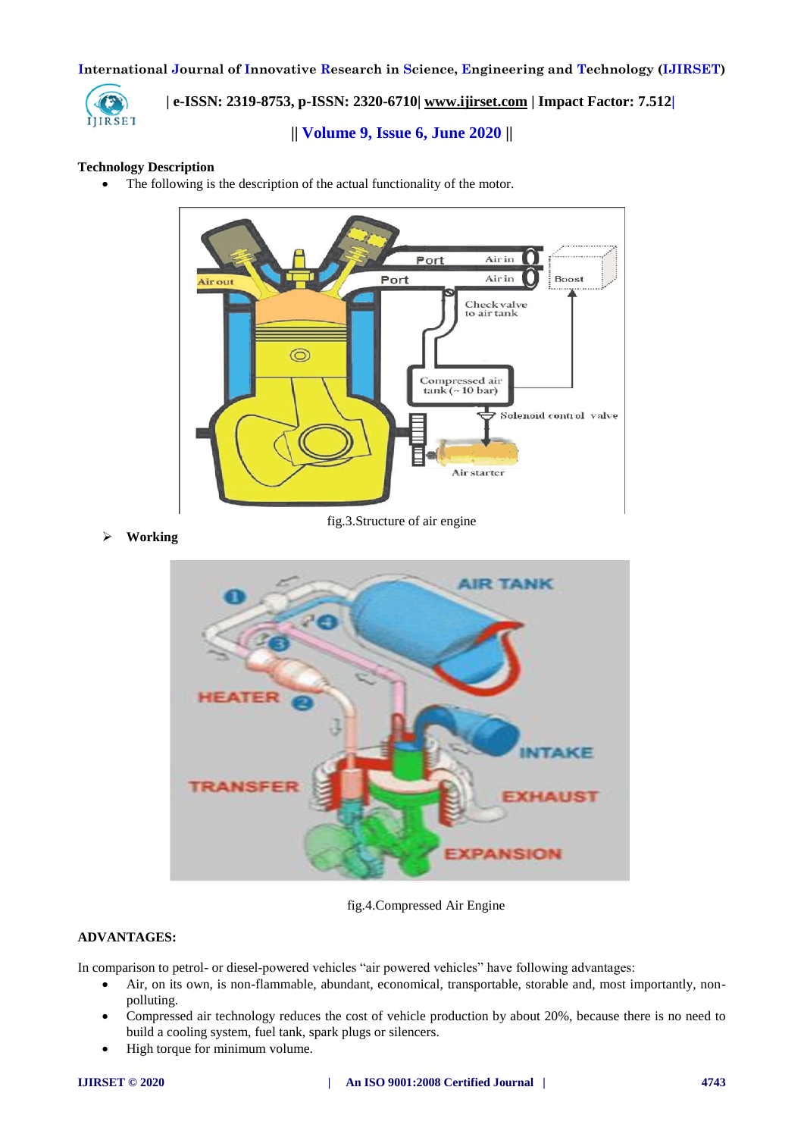

# **| e-ISSN: 2319-8753, p-ISSN: 2320-6710| [www.ijirset.com](http://www.ijirset.com/) | Impact Factor: 7.512|**

# **|| Volume 9, Issue 6, June 2020 ||**

## **Technology Description**

• The following is the description of the actual functionality of the motor.



fig.3.Structure of air engine

**Working** 



fig.4.Compressed Air Engine

## **ADVANTAGES:**

In comparison to petrol- or diesel-powered vehicles "air powered vehicles" have following advantages:

- Air, on its own, is non-flammable, abundant, economical, transportable, storable and, most importantly, nonpolluting.
- Compressed air technology reduces the cost of vehicle production by about 20%, because there is no need to build a cooling system, fuel tank, spark plugs or silencers.
- High torque for minimum volume.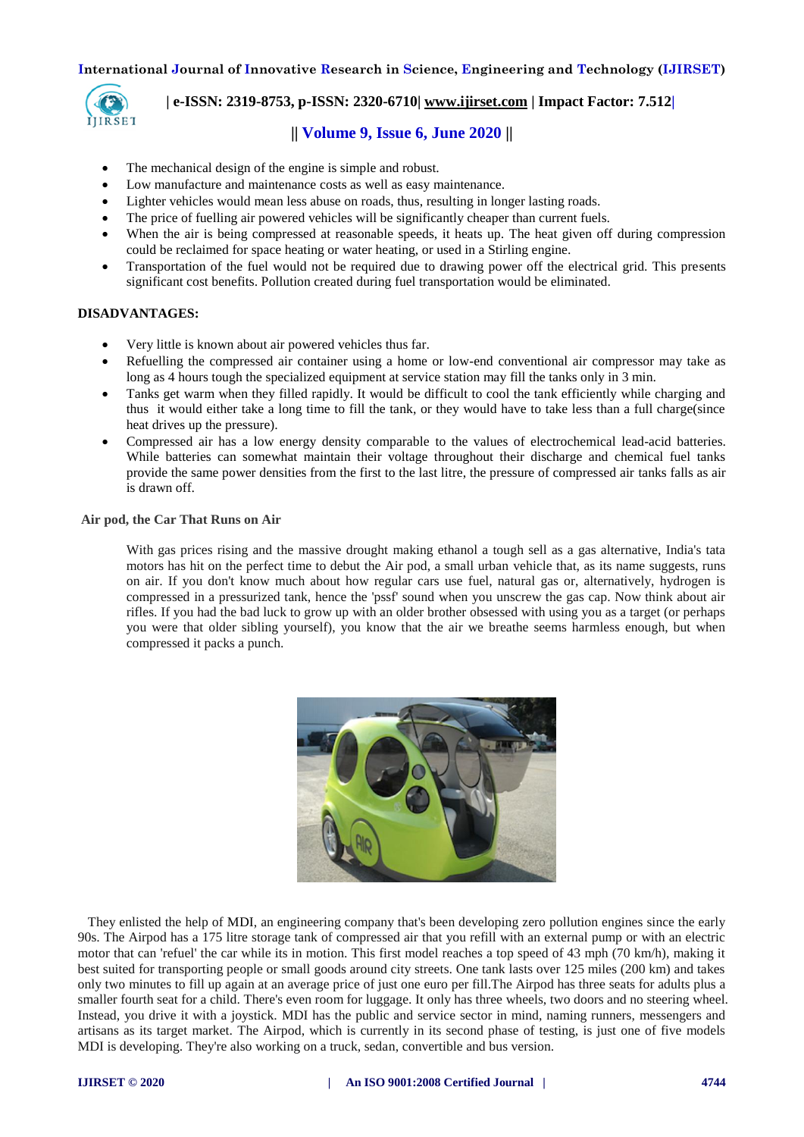

## **| e-ISSN: 2319-8753, p-ISSN: 2320-6710| [www.ijirset.com](http://www.ijirset.com/) | Impact Factor: 7.512|**

## **|| Volume 9, Issue 6, June 2020 ||**

- The mechanical design of the engine is simple and robust.
- Low manufacture and maintenance costs as well as easy maintenance.
- Lighter vehicles would mean less abuse on roads, thus, resulting in longer lasting roads.
- The price of fuelling air powered vehicles will be significantly cheaper than current fuels.
- When the air is being compressed at reasonable speeds, it heats up. The heat given off during compression could be reclaimed for space heating or water heating, or used in a Stirling engine.
- Transportation of the fuel would not be required due to drawing power off the electrical grid. This presents significant cost benefits. Pollution created during fuel transportation would be eliminated.

#### **DISADVANTAGES:**

- Very little is known about air powered vehicles thus far.
- Refuelling the compressed air container using a home or low-end conventional air compressor may take as long as 4 hours tough the specialized equipment at service station may fill the tanks only in 3 min.
- Tanks get warm when they filled rapidly. It would be difficult to cool the tank efficiently while charging and thus it would either take a long time to fill the tank, or they would have to take less than a full charge(since heat drives up the pressure).
- Compressed air has a low energy density comparable to the values of electrochemical lead-acid batteries. While batteries can somewhat maintain their voltage throughout their discharge and chemical fuel tanks provide the same power densities from the first to the last litre, the pressure of compressed air tanks falls as air is drawn off.

**Air pod, the Car That Runs on Air**

With gas prices rising and the massive drought making ethanol a tough sell as a gas alternative, India's tata motors has hit on the perfect time to debut the Air pod, a small urban vehicle that, as its name suggests, runs on air. If you don't know much about how regular cars use fuel, natural gas or, alternatively, hydrogen is compressed in a pressurized tank, hence the 'pssf' sound when you unscrew the gas cap. Now think about air rifles. If you had the bad luck to grow up with an older brother obsessed with using you as a target (or perhaps you were that older sibling yourself), you know that the air we breathe seems harmless enough, but when compressed it packs a punch.



 They enlisted the help of MDI, an engineering company that's been developing zero pollution engines since the early 90s. The Airpod has a 175 litre storage tank of compressed air that you refill with an external pump or with an electric motor that can 'refuel' the car while its in motion. This first model reaches a top speed of 43 mph (70 km/h), making it best suited for transporting people or small goods around city streets. One tank lasts over 125 miles (200 km) and takes only two minutes to fill up again at an average price of just one euro per fill.The Airpod has three seats for adults plus a smaller fourth seat for a child. There's even room for luggage. It only has three wheels, two doors and no steering wheel. Instead, you drive it with a joystick. MDI has the public and service sector in mind, naming runners, messengers and artisans as its target market. The Airpod, which is currently in its second phase of testing, is just one of five models MDI is developing. They're also working on a truck, sedan, convertible and bus version.